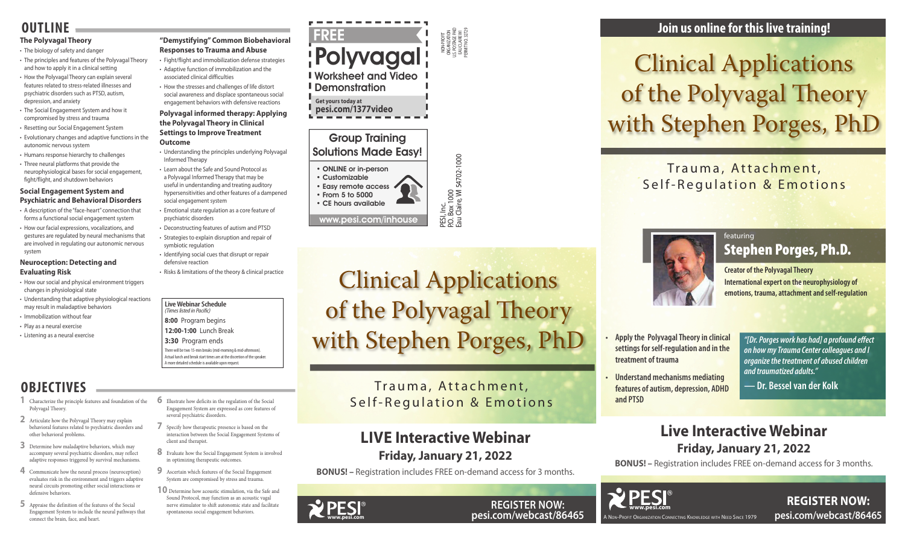PESI, Inc.<br>P.O. Box 1000<br>Eau Claire, Wl 54702-1000 P.O. Box 1000

Eau Claire, WI 54702-1000

### Group Training Solutions Made Easy!

• ONLINE or in-person

• Customizable • Easy remote access • From 5 to 5000 • CE hours available

www.pesi.com/inhouse

#### **Live Webinar Schedule**  *(Times listed in Pacific)*

**8:00** Program begins

**REGISTER NOW: pesi.com/webcast/86465**

**12:00-1:00** Lunch Break

**3:30** Program ends

There will be two 15-min breaks (mid-morning & mid-afternoon). Actual lunch and break start times are at the discretion of the speaker. A more detailed schedule is available upon request.

Trauma, Attachment, Self-Regulation & Emotions



A Non-Profit Organization Connecting Knowledge with Need Since 1979

**Creator of the Polyvagal Theory**

**International expert on the neurophysiology of emotions, trauma, attachment and self-regulation**

### Trauma, Attachment, Self-Regulation & Emotions

**• Apply the Polyvagal Theory in clinical settings for self-regulation and in the treatment of trauma**

**• Understand mechanisms mediating features of autism, depression, ADHD** 

**and PTSD**



# Clinical Applications of the Polyvagal Theory with Stephen Porges, PhD

### featuring Stephen Porges, Ph.D.

*"[Dr. Porges work has had] a profound effect on how my Trauma Center colleagues and I organize the treatment of abused children and traumatized adults."*

**— Dr. Bessel van der Kolk** 

### **Join us online for this live training!**

### **Live Interactive Webinar Friday, January 21, 2022**

**BONUS! –** Registration includes FREE on-demand access for 3 months.

**www.pesi.com**

**YPESI** 

**REGISTER NOW: pesi.com/webcast/86465**



### **LIVE Interactive Webinar Friday, January 21, 2022**

**BONUS! –** Registration includes FREE on-demand access for 3 months.



**Get yours today at pesi.com/1377video**

### **OUTLINE**

#### **The Polyvagal Theory**

- The biology of safety and danger
- The principles and features of the Polyvagal Theory and how to apply it in a clinical setting
- How the Polyvagal Theory can explain several features related to stress-related illnesses and psychiatric disorders such as PTSD, autism, depression, and anxiety
- The Social Engagement System and how it compromised by stress and trauma
- Resetting our Social Engagement System
- Evolutionary changes and adaptive functions in the autonomic nervous system
- Humans response hierarchy to challenges
- Three neural platforms that provide the neurophysiological bases for social engagement, fight/flight, and shutdown behaviors

#### **Social Engagement System and Psychiatric and Behavioral Disorders**

- A description of the "face-heart" connection that forms a functional social engagement system
- How our facial expressions, vocalizations, and gestures are regulated by neural mechanisms that are involved in regulating our autonomic nervous system

#### **Neuroception: Detecting and Evaluating Risk**

- How our social and physical environment triggers changes in physiological state
- Understanding that adaptive physiological reactions may result in maladaptive behaviors
- Immobilization without fear
- Play as a neural exercise
- Listening as a neural exercise

### **"Demystifying" Common Biobehavioral Responses to Trauma and Abuse**

- Fight/flight and immobilization defense strategies • Adaptive function of immobilization and the
- associated clinical difficulties • How the stresses and challenges of life distort
- social awareness and displace spontaneous social engagement behaviors with defensive reactions

#### **Polyvagal informed therapy: Applying the Polyvagal Theory in Clinical Settings to Improve Treatment Outcome**

- 
- Understanding the principles underlying Polyvagal Informed Therapy
- Learn about the Safe and Sound Protocol as a Polyvagal Informed Therapy that may be useful in understanding and treating auditory hypersensitivities and other features of a dampened social engagement system
- Emotional state regulation as a core feature of psychiatric disorders
- Deconstructing features of autism and PTSD • Strategies to explain disruption and repair of symbiotic regulation
- Identifying social cues that disrupt or repair defensive reaction
- Risks & limitations of the theory & clinical practice

## **OBJECTIVES**

- **1** Characterize the principle features and foundation of the Polyvagal Theory.
- **2** Articulate how the Polyvagal Theory may explain behavioral features related to psychiatric disorders and other behavioral problems.
- **3** Determine how maladaptive behaviors, which may accompany several psychiatric disorders, may reflect adaptive responses triggered by survival mechanisms.
- **4** Communicate how the neural process (neuroception) evaluates risk in the environment and triggers adaptive neural circuits promoting either social interactions or defensive behaviors.
- **5** Appraise the definition of the features of the Social Engagement System to include the neural pathways that connect the brain, face, and heart.

NON-PROFIT ORGANIZATION U.S. POSTAGE PAID EAU CLAIRE WI PERMIT NO. 32729 FREE Polyvagal Worksheet and Video **I** Demonstration

**6** Illustrate how deficits in the regulation of the Social Engagement System are expressed as core features of

several psychiatric disorders.

**7** Specify how therapeutic presence is based on the interaction between the Social Engagement Systems of

client and therapist.

**8** Evaluate how the Social Engagement System is involved

in optimizing therapeutic outcomes.

**9** Ascertain which features of the Social Engagement System are compromised by stress and trauma. **10** Determine how acoustic stimulation, via the Safe and Sound Protocol, may function as an acoustic vagal nerve stimulator to shift autonomic state and facilitate spontaneous social engagement behaviors.